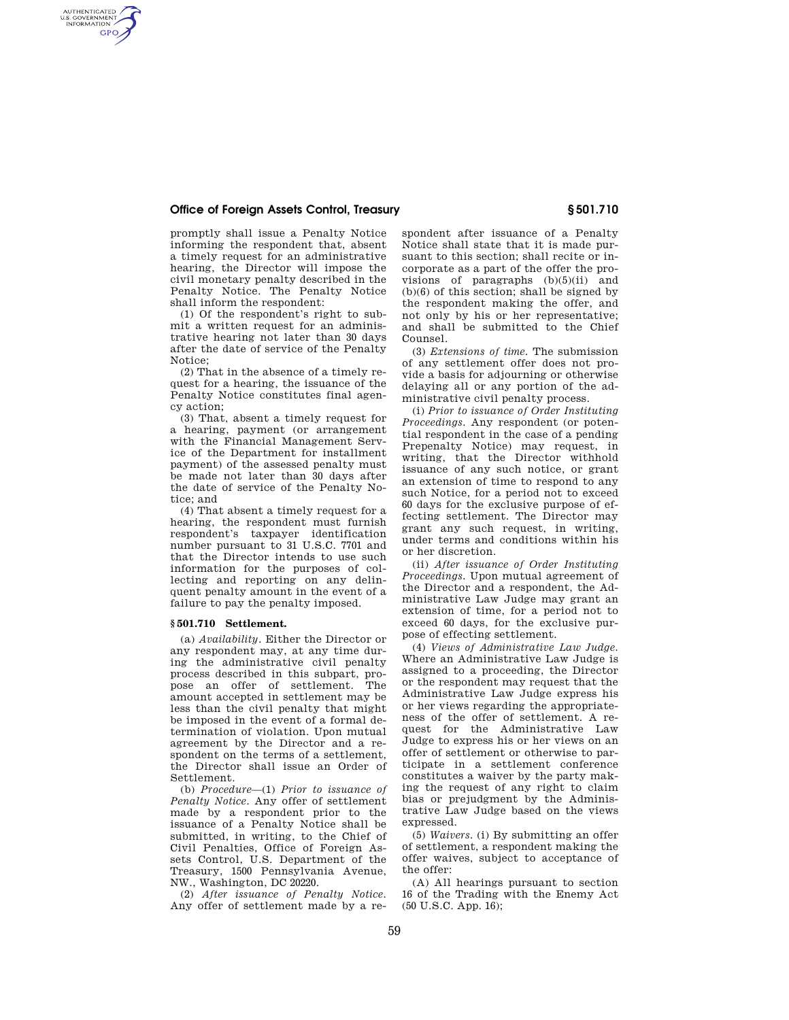# **Office of Foreign Assets Control, Treasury § 501.710**

AUTHENTICATED<br>U.S. GOVERNMENT<br>INFORMATION **GPO** 

> promptly shall issue a Penalty Notice informing the respondent that, absent a timely request for an administrative hearing, the Director will impose the civil monetary penalty described in the Penalty Notice. The Penalty Notice shall inform the respondent:

> (1) Of the respondent's right to submit a written request for an administrative hearing not later than 30 days after the date of service of the Penalty Notice;

> (2) That in the absence of a timely request for a hearing, the issuance of the Penalty Notice constitutes final agency action;

> (3) That, absent a timely request for a hearing, payment (or arrangement with the Financial Management Service of the Department for installment payment) of the assessed penalty must be made not later than 30 days after the date of service of the Penalty Notice; and

> (4) That absent a timely request for a hearing, the respondent must furnish respondent's taxpayer identification number pursuant to 31 U.S.C. 7701 and that the Director intends to use such information for the purposes of collecting and reporting on any delinquent penalty amount in the event of a failure to pay the penalty imposed.

#### **§ 501.710 Settlement.**

(a) *Availability.* Either the Director or any respondent may, at any time during the administrative civil penalty process described in this subpart, propose an offer of settlement. The amount accepted in settlement may be less than the civil penalty that might be imposed in the event of a formal determination of violation. Upon mutual agreement by the Director and a respondent on the terms of a settlement, the Director shall issue an Order of Settlement.

(b) *Procedure*—(1) *Prior to issuance of Penalty Notice.* Any offer of settlement made by a respondent prior to the issuance of a Penalty Notice shall be submitted, in writing, to the Chief of Civil Penalties, Office of Foreign Assets Control, U.S. Department of the Treasury, 1500 Pennsylvania Avenue, NW., Washington, DC 20220.

(2) *After issuance of Penalty Notice.*  Any offer of settlement made by a respondent after issuance of a Penalty Notice shall state that it is made pursuant to this section; shall recite or incorporate as a part of the offer the provisions of paragraphs (b)(5)(ii) and (b)(6) of this section; shall be signed by the respondent making the offer, and not only by his or her representative; and shall be submitted to the Chief Counsel.

(3) *Extensions of time.* The submission of any settlement offer does not provide a basis for adjourning or otherwise delaying all or any portion of the administrative civil penalty process.

(i) *Prior to issuance of Order Instituting Proceedings.* Any respondent (or potential respondent in the case of a pending Prepenalty Notice) may request, in writing, that the Director withhold issuance of any such notice, or grant an extension of time to respond to any such Notice, for a period not to exceed 60 days for the exclusive purpose of effecting settlement. The Director may grant any such request, in writing, under terms and conditions within his or her discretion.

(ii) *After issuance of Order Instituting Proceedings.* Upon mutual agreement of the Director and a respondent, the Administrative Law Judge may grant an extension of time, for a period not to exceed 60 days, for the exclusive purpose of effecting settlement.

(4) *Views of Administrative Law Judge.*  Where an Administrative Law Judge is assigned to a proceeding, the Director or the respondent may request that the Administrative Law Judge express his or her views regarding the appropriateness of the offer of settlement. A request for the Administrative Law Judge to express his or her views on an offer of settlement or otherwise to participate in a settlement conference constitutes a waiver by the party making the request of any right to claim bias or prejudgment by the Administrative Law Judge based on the views expressed.

(5) *Waivers.* (i) By submitting an offer of settlement, a respondent making the offer waives, subject to acceptance of the offer:

(A) All hearings pursuant to section 16 of the Trading with the Enemy Act (50 U.S.C. App. 16);